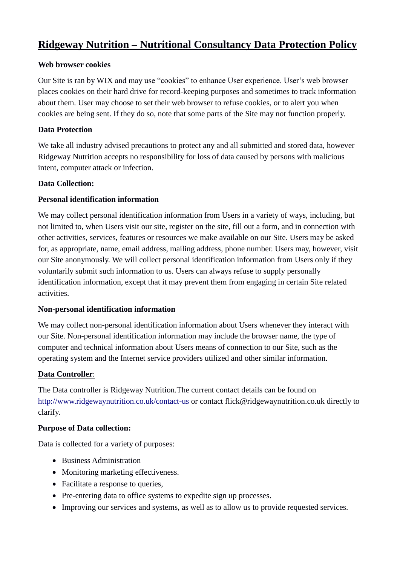# **Ridgeway Nutrition – Nutritional Consultancy Data Protection Policy**

#### **Web browser cookies**

Our Site is ran by WIX and may use "cookies" to enhance User experience. User's web browser places cookies on their hard drive for record-keeping purposes and sometimes to track information about them. User may choose to set their web browser to refuse cookies, or to alert you when cookies are being sent. If they do so, note that some parts of the Site may not function properly.

#### **Data Protection**

We take all industry advised precautions to protect any and all submitted and stored data, however Ridgeway Nutrition accepts no responsibility for loss of data caused by persons with malicious intent, computer attack or infection.

#### **Data Collection:**

#### **Personal identification information**

We may collect personal identification information from Users in a variety of ways, including, but not limited to, when Users visit our site, register on the site, fill out a form, and in connection with other activities, services, features or resources we make available on our Site. Users may be asked for, as appropriate, name, email address, mailing address, phone number. Users may, however, visit our Site anonymously. We will collect personal identification information from Users only if they voluntarily submit such information to us. Users can always refuse to supply personally identification information, except that it may prevent them from engaging in certain Site related activities.

#### **Non-personal identification information**

We may collect non-personal identification information about Users whenever they interact with our Site. Non-personal identification information may include the browser name, the type of computer and technical information about Users means of connection to our Site, such as the operating system and the Internet service providers utilized and other similar information.

#### **Data Controller**:

The Data controller is Ridgeway Nutrition.The current contact details can be found on [http://www.ridgewaynutrition.co.uk/contact-us](https://newbury.razzamataz.co.uk/contact-us) or contact flick@ridgewaynutrition.co.uk directly to clarify.

#### **Purpose of Data collection:**

Data is collected for a variety of purposes:

- Business Administration
- Monitoring marketing effectiveness.
- Facilitate a response to queries,
- Pre-entering data to office systems to expedite sign up processes.
- Improving our services and systems, as well as to allow us to provide requested services.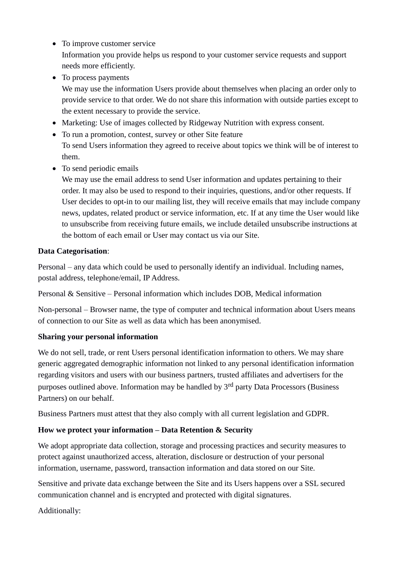- To improve customer service Information you provide helps us respond to your customer service requests and support needs more efficiently.
- To process payments

We may use the information Users provide about themselves when placing an order only to provide service to that order. We do not share this information with outside parties except to the extent necessary to provide the service.

- Marketing: Use of images collected by Ridgeway Nutrition with express consent.
- To run a promotion, contest, survey or other Site feature To send Users information they agreed to receive about topics we think will be of interest to them.
- To send periodic emails

We may use the email address to send User information and updates pertaining to their order. It may also be used to respond to their inquiries, questions, and/or other requests. If User decides to opt-in to our mailing list, they will receive emails that may include company news, updates, related product or service information, etc. If at any time the User would like to unsubscribe from receiving future emails, we include detailed unsubscribe instructions at the bottom of each email or User may contact us via our Site.

#### **Data Categorisation**:

Personal – any data which could be used to personally identify an individual. Including names, postal address, telephone/email, IP Address.

Personal & Sensitive – Personal information which includes DOB, Medical information

Non-personal – Browser name, the type of computer and technical information about Users means of connection to our Site as well as data which has been anonymised.

#### **Sharing your personal information**

We do not sell, trade, or rent Users personal identification information to others. We may share generic aggregated demographic information not linked to any personal identification information regarding visitors and users with our business partners, trusted affiliates and advertisers for the purposes outlined above. Information may be handled by  $3<sup>rd</sup>$  party Data Processors (Business Partners) on our behalf.

Business Partners must attest that they also comply with all current legislation and GDPR.

#### **How we protect your information – Data Retention & Security**

We adopt appropriate data collection, storage and processing practices and security measures to protect against unauthorized access, alteration, disclosure or destruction of your personal information, username, password, transaction information and data stored on our Site.

Sensitive and private data exchange between the Site and its Users happens over a SSL secured communication channel and is encrypted and protected with digital signatures.

Additionally: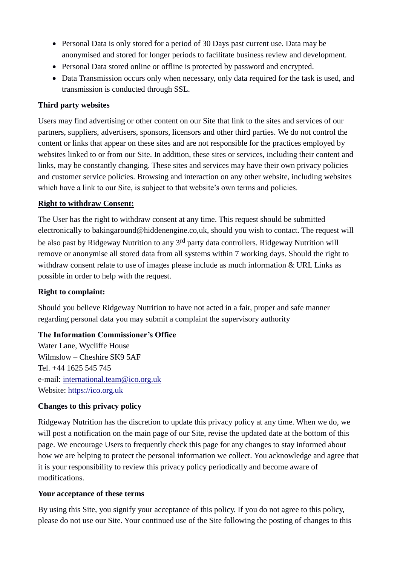- Personal Data is only stored for a period of 30 Days past current use. Data may be anonymised and stored for longer periods to facilitate business review and development.
- Personal Data stored online or offline is protected by password and encrypted.
- Data Transmission occurs only when necessary, only data required for the task is used, and transmission is conducted through SSL.

## **Third party websites**

Users may find advertising or other content on our Site that link to the sites and services of our partners, suppliers, advertisers, sponsors, licensors and other third parties. We do not control the content or links that appear on these sites and are not responsible for the practices employed by websites linked to or from our Site. In addition, these sites or services, including their content and links, may be constantly changing. These sites and services may have their own privacy policies and customer service policies. Browsing and interaction on any other website, including websites which have a link to our Site, is subject to that website's own terms and policies.

### **Right to withdraw Consent:**

The User has the right to withdraw consent at any time. This request should be submitted electronically to bakingaround@hiddenengine.co,uk, should you wish to contact. The request will be also past by Ridgeway Nutrition to any 3<sup>rd</sup> party data controllers. Ridgeway Nutrition will remove or anonymise all stored data from all systems within 7 working days. Should the right to withdraw consent relate to use of images please include as much information & URL Links as possible in order to help with the request.

#### **Right to complaint:**

Should you believe Ridgeway Nutrition to have not acted in a fair, proper and safe manner regarding personal data you may submit a complaint the supervisory authority

## **The Information Commissioner's Office**

Water Lane, Wycliffe House Wilmslow – Cheshire SK9 5AF Tel. +44 1625 545 745 e-mail: [international.team@ico.org.uk](mailto:international.team@ico.org.uk) Website: [https://ico.org.uk](https://ico.org.uk/)

## **Changes to this privacy policy**

Ridgeway Nutrition has the discretion to update this privacy policy at any time. When we do, we will post a notification on the main page of our Site, revise the updated date at the bottom of this page. We encourage Users to frequently check this page for any changes to stay informed about how we are helping to protect the personal information we collect. You acknowledge and agree that it is your responsibility to review this privacy policy periodically and become aware of modifications.

#### **Your acceptance of these terms**

By using this Site, you signify your acceptance of this policy. If you do not agree to this policy, please do not use our Site. Your continued use of the Site following the posting of changes to this